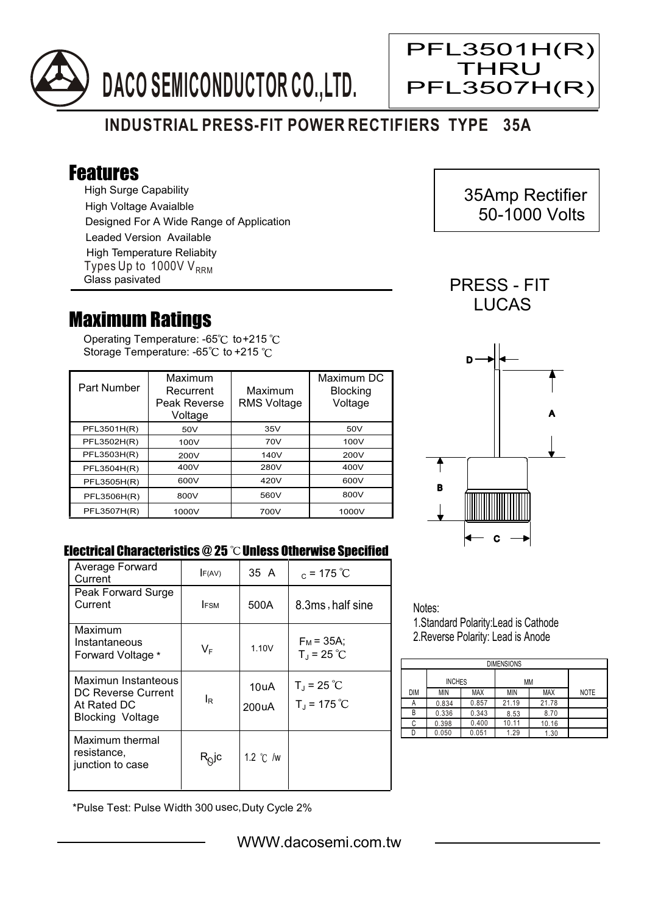

## **INDUSTRIAL PRESS-FIT POWER RECTIFIERS TYPE 35A**

## Features

High Surge Capability High Voltage Avaialble Designed For A Wide Range of Application Leaded Version Available Types Up to 1000V  $V_{RRM}$ High Temperature Reliabity Glass pasivated

## Maximum Ratings

Operating Temperature: -65 $^{\circ}$ C to+215 Storage Temperature: -65 $\degree$ C to +215  $\degree$ C

| Part Number | Maximum<br>Recurrent<br>Peak Reverse<br>Voltage | Maximum<br><b>RMS Voltage</b> | Maximum DC<br><b>Blocking</b><br>Voltage |
|-------------|-------------------------------------------------|-------------------------------|------------------------------------------|
| PFL3501H(R) | 50V                                             | 35V                           | 50V                                      |
| PFL3502H(R) | 100V                                            | 70V                           | 100V                                     |
| PFL3503H(R) | 200V                                            | 140V                          | 200V                                     |
| PFL3504H(R) | 400V                                            | 280V                          | 400V                                     |
| PFL3505H(R) | 600V                                            | 420V                          | 600V                                     |
| PFL3506H(R) | 800V                                            | 560V                          | 800V                                     |
| PFL3507H(R) | 1000V                                           | 700V                          | 1000V                                    |



 35Amp Rectifier 50-1000 Volts

**LUCAS** 

PFL3501H(R) THRU PFL3507H(R)

Ξ



## Electrical Characteristics @ 25 °C Unless Otherwise Specified

| Average Forward<br>Current                                                   | F(AV)                                | 35 A               | $_c = 175 °C$                           |
|------------------------------------------------------------------------------|--------------------------------------|--------------------|-----------------------------------------|
| Peak Forward Surge<br>Current                                                | <b>FSM</b>                           | 500A               | 8.3ms, half sine                        |
| Maximum<br>Instantaneous<br>Forward Voltage *                                | $\mathsf{V}_\mathsf{F}$              | 1.10V              | $F_M = 35A$ ;<br>$T_{\rm J}$ = 25 °C    |
| Maximun Instanteous<br>DC Reverse Current<br>At Rated DC<br>Blocking Voltage | ΙR                                   | 10uA<br>200uA      | $T_{J}$ = 25 °C<br>$T_{\rm J}$ = 175 °C |
| Maximum thermal<br>resistance,<br>junction to case                           | $\mathsf{R}_{\mathsf{Q}}\mathsf{jc}$ | 1.2 $\degree$ C /w |                                         |

Notes:

1.Standard Polarity:Lead is Cathode 2.Reverse Polarity: Lead is Anode

| <b>DIMENSIONS</b> |               |            |       |       |             |  |  |  |
|-------------------|---------------|------------|-------|-------|-------------|--|--|--|
|                   | <b>INCHES</b> |            | МM    |       |             |  |  |  |
| DIM               | MIN           | <b>MAX</b> | ΜIΝ   | MAX   | <b>NOTE</b> |  |  |  |
| А                 | 0.834         | 0.857      | 21.19 | 21.78 |             |  |  |  |
| В                 | 0.336         | 0.343      | 8.53  | 8.70  |             |  |  |  |
| C                 | 0.398         | 0.400      | 10.11 | 10.16 |             |  |  |  |
|                   | 0.050         | 0.051      | 1.29  | 1.30  |             |  |  |  |

\*Pulse Test: Pulse Width 300 usec,Duty Cycle 2%